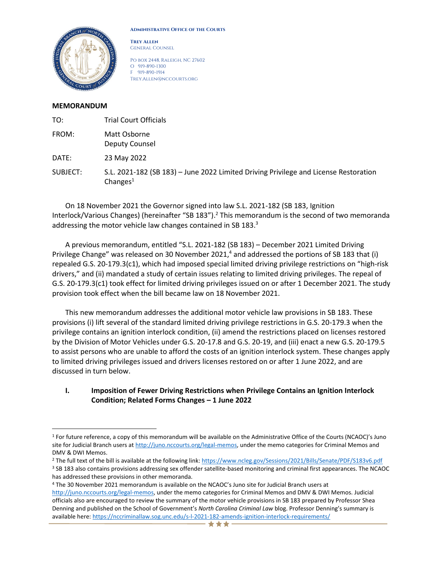

**Administrative Office of the Courts**

**Trey Allen** General Counsel

Po box 2448, Raleigh, NC 27602 O 919-890-1300 F 919-890-1914 Trey.Allen@nccourts.org

#### **MEMORANDUM**

| TO:      | <b>Trial Court Officials</b>                                                                        |
|----------|-----------------------------------------------------------------------------------------------------|
| FROM:    | Matt Osborne<br>Deputy Counsel                                                                      |
| DATE:    | 23 May 2022                                                                                         |
| SUBJECT: | S.L. 2021-182 (SB 183) - June 2022 Limited Driving Privilege and License Restoration<br>Changes $1$ |

On 18 November 2021 the Governor signed into law S.L. 2021-182 (SB 183, Ignition Interlock/Various Changes) (hereinafter "SB 183").<sup>2</sup> This memorandum is the second of two memoranda addressing the motor vehicle law changes contained in SB 183.<sup>3</sup>

A previous memorandum, entitled "S.L. 2021-182 (SB 183) – December 2021 Limited Driving Privilege Change" was released on 30 November 2021,<sup>4</sup> and addressed the portions of SB 183 that (i) repealed G.S. 20-179.3(c1), which had imposed special limited driving privilege restrictions on "high-risk drivers," and (ii) mandated a study of certain issues relating to limited driving privileges. The repeal of G.S. 20-179.3(c1) took effect for limited driving privileges issued on or after 1 December 2021. The study provision took effect when the bill became law on 18 November 2021.

This new memorandum addresses the additional motor vehicle law provisions in SB 183. These provisions (i) lift several of the standard limited driving privilege restrictions in G.S. 20-179.3 when the privilege contains an ignition interlock condition, (ii) amend the restrictions placed on licenses restored by the Division of Motor Vehicles under G.S. 20-17.8 and G.S. 20-19, and (iii) enact a new G.S. 20-179.5 to assist persons who are unable to afford the costs of an ignition interlock system. These changes apply to limited driving privileges issued and drivers licenses restored on or after 1 June 2022, and are discussed in turn below.

## **I. Imposition of Fewer Driving Restrictions when Privilege Contains an Ignition Interlock Condition; Related Forms Changes – 1 June 2022**

<sup>1</sup> For future reference, a copy of this memorandum will be available on the Administrative Office of the Courts (NCAOC)'s Juno site for Judicial Branch users at [http://juno.nccourts.org/legal-memos,](http://juno.nccourts.org/legal-memos) under the memo categories for Criminal Memos and DMV & DWI Memos.

<sup>2</sup> The full text of the bill is available at the following link[: https://www.ncleg.gov/Sessions/2021/Bills/Senate/PDF/S183v6.pdf](https://www.ncleg.gov/Sessions/2021/Bills/Senate/PDF/S183v6.pdf) <sup>3</sup> SB 183 also contains provisions addressing sex offender satellite-based monitoring and criminal first appearances. The NCAOC has addressed these provisions in other memoranda.

<sup>4</sup> The 30 November 2021 memorandum is available on the NCAOC's Juno site for Judicial Branch users at [http://juno.nccourts.org/legal-memos,](http://juno.nccourts.org/legal-memos) under the memo categories for Criminal Memos and DMV & DWI Memos. Judicial officials also are encouraged to review the summary of the motor vehicle provisions in SB 183 prepared by Professor Shea Denning and published on the School of Government's *North Carolina Criminal Law* blog. Professor Denning's summary is available here: <https://nccriminallaw.sog.unc.edu/s-l-2021-182-amends-ignition-interlock-requirements/>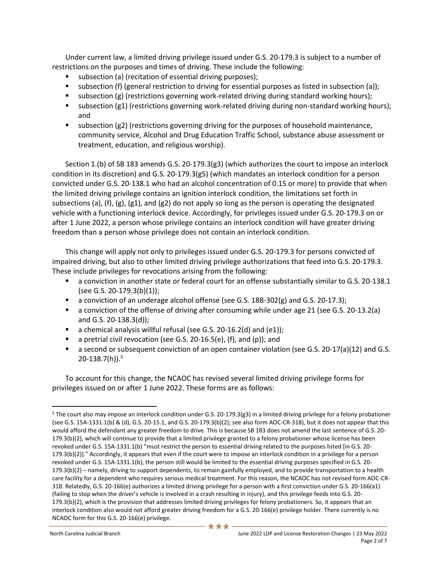Under current law, a limited driving privilege issued under G.S. 20-179.3 is subject to a number of restrictions on the purposes and times of driving. These include the following:

- subsection (a) (recitation of essential driving purposes);
- subsection (f) (general restriction to driving for essential purposes as listed in subsection (a));
- subsection (g) (restrictions governing work-related driving during standard working hours);
- subsection (g1) (restrictions governing work-related driving during non-standard working hours); and
- subsection (g2) (restrictions governing driving for the purposes of household maintenance, community service, Alcohol and Drug Education Traffic School, substance abuse assessment or treatment, education, and religious worship).

Section 1.(b) of SB 183 amends G.S. 20-179.3(g3) (which authorizes the court to impose an interlock condition in its discretion) and G.S. 20-179.3(g5) (which mandates an interlock condition for a person convicted under G.S. 20-138.1 who had an alcohol concentration of 0.15 or more) to provide that when the limited driving privilege contains an ignition interlock condition, the limitations set forth in subsections (a), (f), (g), (g1), and (g2) do not apply so long as the person is operating the designated vehicle with a functioning interlock device. Accordingly, for privileges issued under G.S. 20-179.3 on or after 1 June 2022, a person whose privilege contains an interlock condition will have greater driving freedom than a person whose privilege does not contain an interlock condition.

This change will apply not only to privileges issued under G.S. 20-179.3 for persons convicted of impaired driving, but also to other limited driving privilege authorizations that feed into G.S. 20-179.3. These include privileges for revocations arising from the following:

- a conviction in another state or federal court for an offense substantially similar to G.S. 20-138.1 (see G.S. 20-179.3(b)(1));
- $\blacksquare$  a conviction of an underage alcohol offense (see G.S. 18B-302(g) and G.S. 20-17.3);
- a conviction of the offense of driving after consuming while under age 21 (see G.S. 20-13.2(a) and G.S. 20-138.3(d));
- a chemical analysis willful refusal (see G.S. 20-16.2(d) and (e1));
- a pretrial civil revocation (see G.S. 20-16.5(e), (f), and (p)); and
- a second or subsequent conviction of an open container violation (see G.S. 20-17(a)(12) and G.S. 20-138.7(h)). 5

To account for this change, the NCAOC has revised several limited driving privilege forms for privileges issued on or after 1 June 2022. These forms are as follows:

<sup>5</sup> The court also may impose an interlock condition under G.S. 20-179.3(g3) in a limited driving privilege for a felony probationer (see G.S. 15A-1331.1(b) & (d), G.S. 20-15.1, and G.S. 20-179.3(b)(2); see also form AOC-CR-318), but it does not appear that this would afford the defendant any greater freedom to drive. This is because SB 183 does not amend the last sentence of G.S. 20- 179.3(b)(2), which will continue to provide that a limited privilege granted to a felony probationer whose license has been revoked under G.S. 15A-1331.1(b) "must restrict the person to essential driving related to the purposes listed [in G.S. 20- 179.3(b)(2)]." Accordingly, it appears that even if the court were to impose an interlock condition in a privilege for a person revoked under G.S. 15A-1331.1(b), the person still would be limited to the essential driving purposes specified in G.S. 20- 179.3(b)(2) – namely, driving to support dependents, to remain gainfully employed, and to provide transportation to a health care facility for a dependent who requires serious medical treatment. For this reason, the NCAOC has not revised form AOC-CR-318. Relatedly, G.S. 20-166(e) authorizes a limited driving privilege for a person with a first conviction under G.S. 20-166(a1) (failing to stop when the driver's vehicle is involved in a crash resulting in injury), and this privilege feeds into G.S. 20- 179.3(b)(2), which is the provision that addresses limited driving privileges for felony probationers. So, it appears that an interlock condition also would not afford greater driving freedom for a G.S. 20-166(e) privilege holder. There currently is no NCAOC form for this G.S. 20-166(e) privilege.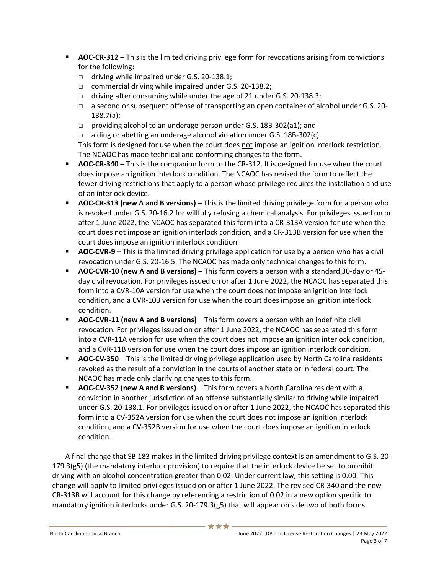- **AOC-CR-312** This is the limited driving privilege form for revocations arising from convictions for the following:
	- □ driving while impaired under G.S. 20-138.1;
	- □ commercial driving while impaired under G.S. 20-138.2;
	- □ driving after consuming while under the age of 21 under G.S. 20-138.3;
	- □ a second or subsequent offense of transporting an open container of alcohol under G.S. 20- 138.7(a);
	- □ providing alcohol to an underage person under G.S. 18B-302(a1); and
	- □ aiding or abetting an underage alcohol violation under G.S. 18B-302(c).

This form is designed for use when the court does not impose an ignition interlock restriction. The NCAOC has made technical and conforming changes to the form.

- **EXTER-340** This is the companion form to the CR-312. It is designed for use when the court does impose an ignition interlock condition. The NCAOC has revised the form to reflect the fewer driving restrictions that apply to a person whose privilege requires the installation and use of an interlock device.
- **AOC-CR-313 (new A and B versions)** This is the limited driving privilege form for a person who is revoked under G.S. 20-16.2 for willfully refusing a chemical analysis. For privileges issued on or after 1 June 2022, the NCAOC has separated this form into a CR-313A version for use when the court does not impose an ignition interlock condition, and a CR-313B version for use when the court does impose an ignition interlock condition.
- **EXPLOM-CVR-9** This is the limited driving privilege application for use by a person who has a civil revocation under G.S. 20-16.5. The NCAOC has made only technical changes to this form.
- **AOC-CVR-10 (new A and B versions)** This form covers a person with a standard 30-day or 45 day civil revocation. For privileges issued on or after 1 June 2022, the NCAOC has separated this form into a CVR-10A version for use when the court does not impose an ignition interlock condition, and a CVR-10B version for use when the court does impose an ignition interlock condition.
- **AOC-CVR-11 (new A and B versions)** This form covers a person with an indefinite civil revocation. For privileges issued on or after 1 June 2022, the NCAOC has separated this form into a CVR-11A version for use when the court does not impose an ignition interlock condition, and a CVR-11B version for use when the court does impose an ignition interlock condition.
- **AOC-CV-350** This is the limited driving privilege application used by North Carolina residents revoked as the result of a conviction in the courts of another state or in federal court. The NCAOC has made only clarifying changes to this form.
- **AOC-CV-352 (new A and B versions)** This form covers a North Carolina resident with a conviction in another jurisdiction of an offense substantially similar to driving while impaired under G.S. 20-138.1. For privileges issued on or after 1 June 2022, the NCAOC has separated this form into a CV-352A version for use when the court does not impose an ignition interlock condition, and a CV-352B version for use when the court does impose an ignition interlock condition.

A final change that SB 183 makes in the limited driving privilege context is an amendment to G.S. 20- 179.3(g5) (the mandatory interlock provision) to require that the interlock device be set to prohibit driving with an alcohol concentration greater than 0.02. Under current law, this setting is 0.00. This change will apply to limited privileges issued on or after 1 June 2022. The revised CR-340 and the new CR-313B will account for this change by referencing a restriction of 0.02 in a new option specific to mandatory ignition interlocks under G.S. 20-179.3(g5) that will appear on side two of both forms.

女女女·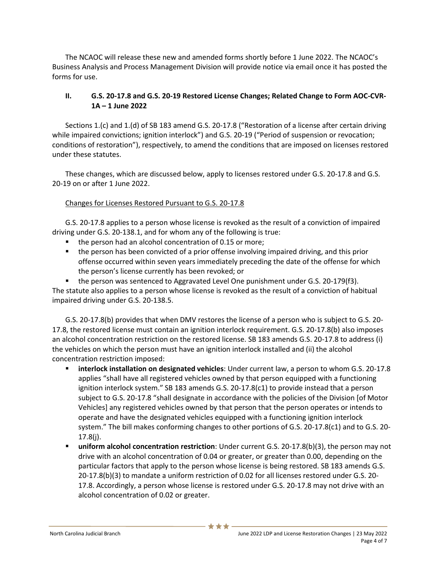The NCAOC will release these new and amended forms shortly before 1 June 2022. The NCAOC's Business Analysis and Process Management Division will provide notice via email once it has posted the forms for use.

# **II. G.S. 20-17.8 and G.S. 20-19 Restored License Changes; Related Change to Form AOC-CVR-1A – 1 June 2022**

Sections 1.(c) and 1.(d) of SB 183 amend G.S. 20-17.8 ("Restoration of a license after certain driving while impaired convictions; ignition interlock") and G.S. 20-19 ("Period of suspension or revocation; conditions of restoration"), respectively, to amend the conditions that are imposed on licenses restored under these statutes.

These changes, which are discussed below, apply to licenses restored under G.S. 20-17.8 and G.S. 20-19 on or after 1 June 2022.

## Changes for Licenses Restored Pursuant to G.S. 20-17.8

G.S. 20-17.8 applies to a person whose license is revoked as the result of a conviction of impaired driving under G.S. 20-138.1, and for whom any of the following is true:

- the person had an alcohol concentration of 0.15 or more;
- the person has been convicted of a prior offense involving impaired driving, and this prior offense occurred within seven years immediately preceding the date of the offense for which the person's license currently has been revoked; or
- $\blacksquare$  the person was sentenced to Aggravated Level One punishment under G.S. 20-179(f3).

The statute also applies to a person whose license is revoked as the result of a conviction of habitual impaired driving under G.S. 20-138.5.

G.S. 20-17.8(b) provides that when DMV restores the license of a person who is subject to G.S. 20- 17.8, the restored license must contain an ignition interlock requirement. G.S. 20-17.8(b) also imposes an alcohol concentration restriction on the restored license. SB 183 amends G.S. 20-17.8 to address (i) the vehicles on which the person must have an ignition interlock installed and (ii) the alcohol concentration restriction imposed:

- **interlock installation on designated vehicles**: Under current law, a person to whom G.S. 20-17.8 applies "shall have all registered vehicles owned by that person equipped with a functioning ignition interlock system." SB 183 amends G.S. 20-17.8(c1) to provide instead that a person subject to G.S. 20-17.8 "shall designate in accordance with the policies of the Division [of Motor Vehicles] any registered vehicles owned by that person that the person operates or intends to operate and have the designated vehicles equipped with a functioning ignition interlock system." The bill makes conforming changes to other portions of G.S. 20-17.8(c1) and to G.S. 20- 17.8(j).
- **uniform alcohol concentration restriction**: Under current G.S. 20-17.8(b)(3), the person may not drive with an alcohol concentration of 0.04 or greater, or greater than 0.00, depending on the particular factors that apply to the person whose license is being restored. SB 183 amends G.S. 20-17.8(b)(3) to mandate a uniform restriction of 0.02 for all licenses restored under G.S. 20- 17.8. Accordingly, a person whose license is restored under G.S. 20-17.8 may not drive with an alcohol concentration of 0.02 or greater.

\*\*\*\*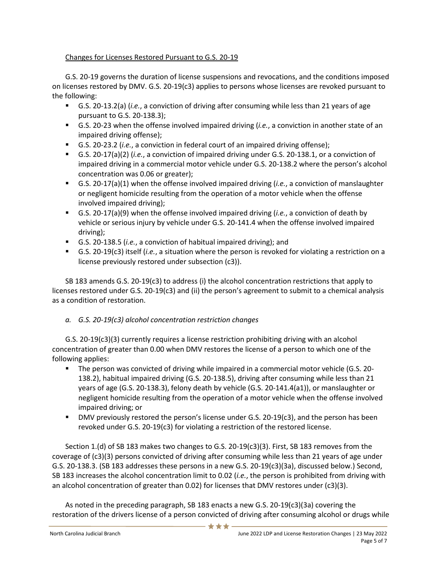# Changes for Licenses Restored Pursuant to G.S. 20-19

G.S. 20-19 governs the duration of license suspensions and revocations, and the conditions imposed on licenses restored by DMV. G.S. 20-19(c3) applies to persons whose licenses are revoked pursuant to the following:

- G.S. 20-13.2(a) (*i.e.*, a conviction of driving after consuming while less than 21 years of age pursuant to G.S. 20-138.3);
- G.S. 20-23 when the offense involved impaired driving (*i.e.*, a conviction in another state of an impaired driving offense);
- G.S. 20-23.2 (*i.e.*, a conviction in federal court of an impaired driving offense);
- G.S. 20-17(a)(2) (*i.e.*, a conviction of impaired driving under G.S. 20-138.1, or a conviction of impaired driving in a commercial motor vehicle under G.S. 20-138.2 where the person's alcohol concentration was 0.06 or greater);
- G.S. 20-17(a)(1) when the offense involved impaired driving (*i.e.*, a conviction of manslaughter or negligent homicide resulting from the operation of a motor vehicle when the offense involved impaired driving);
- G.S. 20-17(a)(9) when the offense involved impaired driving (*i.e.*, a conviction of death by vehicle or serious injury by vehicle under G.S. 20-141.4 when the offense involved impaired driving);
- G.S. 20-138.5 (*i.e.*, a conviction of habitual impaired driving); and
- G.S. 20-19(c3) itself (*i.e.*, a situation where the person is revoked for violating a restriction on a license previously restored under subsection (c3)).

SB 183 amends G.S. 20-19(c3) to address (i) the alcohol concentration restrictions that apply to licenses restored under G.S. 20-19(c3) and (ii) the person's agreement to submit to a chemical analysis as a condition of restoration.

# *a. G.S. 20-19(c3) alcohol concentration restriction changes*

G.S. 20-19(c3)(3) currently requires a license restriction prohibiting driving with an alcohol concentration of greater than 0.00 when DMV restores the license of a person to which one of the following applies:

- The person was convicted of driving while impaired in a commercial motor vehicle (G.S. 20-138.2), habitual impaired driving (G.S. 20-138.5), driving after consuming while less than 21 years of age (G.S. 20-138.3), felony death by vehicle (G.S. 20-141.4(a1)), or manslaughter or negligent homicide resulting from the operation of a motor vehicle when the offense involved impaired driving; or
- **DMV previously restored the person's license under G.S. 20-19(c3), and the person has been** revoked under G.S. 20-19(c3) for violating a restriction of the restored license.

Section 1.(d) of SB 183 makes two changes to G.S. 20-19(c3)(3). First, SB 183 removes from the coverage of (c3)(3) persons convicted of driving after consuming while less than 21 years of age under G.S. 20-138.3. (SB 183 addresses these persons in a new G.S. 20-19(c3)(3a), discussed below.) Second, SB 183 increases the alcohol concentration limit to 0.02 (*i.e.*, the person is prohibited from driving with an alcohol concentration of greater than 0.02) for licenses that DMV restores under (c3)(3).

As noted in the preceding paragraph, SB 183 enacts a new G.S. 20-19(c3)(3a) covering the restoration of the drivers license of a person convicted of driving after consuming alcohol or drugs while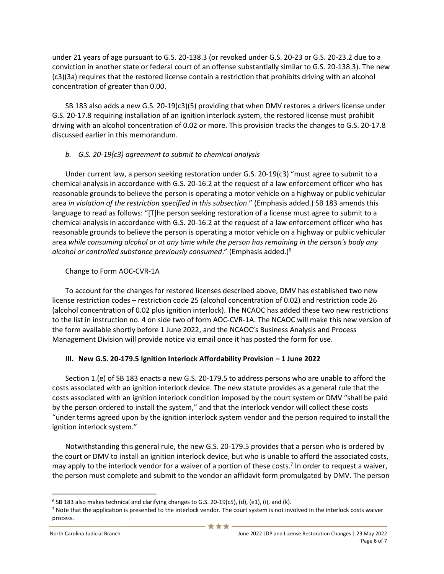under 21 years of age pursuant to G.S. 20-138.3 (or revoked under G.S. 20-23 or G.S. 20-23.2 due to a conviction in another state or federal court of an offense substantially similar to G.S. 20-138.3). The new (c3)(3a) requires that the restored license contain a restriction that prohibits driving with an alcohol concentration of greater than 0.00.

SB 183 also adds a new G.S. 20-19(c3)(5) providing that when DMV restores a drivers license under G.S. 20-17.8 requiring installation of an ignition interlock system, the restored license must prohibit driving with an alcohol concentration of 0.02 or more. This provision tracks the changes to G.S. 20-17.8 discussed earlier in this memorandum.

### *b. G.S. 20-19(c3) agreement to submit to chemical analysis*

Under current law, a person seeking restoration under G.S. 20-19(c3) "must agree to submit to a chemical analysis in accordance with G.S. 20-16.2 at the request of a law enforcement officer who has reasonable grounds to believe the person is operating a motor vehicle on a highway or public vehicular area *in violation of the restriction specified in this subsection*." (Emphasis added.) SB 183 amends this language to read as follows: "[T]he person seeking restoration of a license must agree to submit to a chemical analysis in accordance with G.S. 20-16.2 at the request of a law enforcement officer who has reasonable grounds to believe the person is operating a motor vehicle on a highway or public vehicular area *while consuming alcohol or at any time while the person has remaining in the person's body any alcohol or controlled substance previously consumed*." (Emphasis added.)<sup>6</sup>

### Change to Form AOC-CVR-1A

To account for the changes for restored licenses described above, DMV has established two new license restriction codes – restriction code 25 (alcohol concentration of 0.02) and restriction code 26 (alcohol concentration of 0.02 plus ignition interlock). The NCAOC has added these two new restrictions to the list in instruction no. 4 on side two of form AOC-CVR-1A. The NCAOC will make this new version of the form available shortly before 1 June 2022, and the NCAOC's Business Analysis and Process Management Division will provide notice via email once it has posted the form for use.

## **III. New G.S. 20-179.5 Ignition Interlock Affordability Provision – 1 June 2022**

Section 1.(e) of SB 183 enacts a new G.S. 20-179.5 to address persons who are unable to afford the costs associated with an ignition interlock device. The new statute provides as a general rule that the costs associated with an ignition interlock condition imposed by the court system or DMV "shall be paid by the person ordered to install the system," and that the interlock vendor will collect these costs "under terms agreed upon by the ignition interlock system vendor and the person required to install the ignition interlock system."

Notwithstanding this general rule, the new G.S. 20-179.5 provides that a person who is ordered by the court or DMV to install an ignition interlock device, but who is unable to afford the associated costs, may apply to the interlock vendor for a waiver of a portion of these costs. 7 In order to request a waiver, the person must complete and submit to the vendor an affidavit form promulgated by DMV. The person

<sup>6</sup> SB 183 also makes technical and clarifying changes to G.S. 20-19(c5), (d), (e1), (i), and (k).

<sup>7</sup> Note that the application is presented to the interlock vendor. The court system is not involved in the interlock costs waiver process.